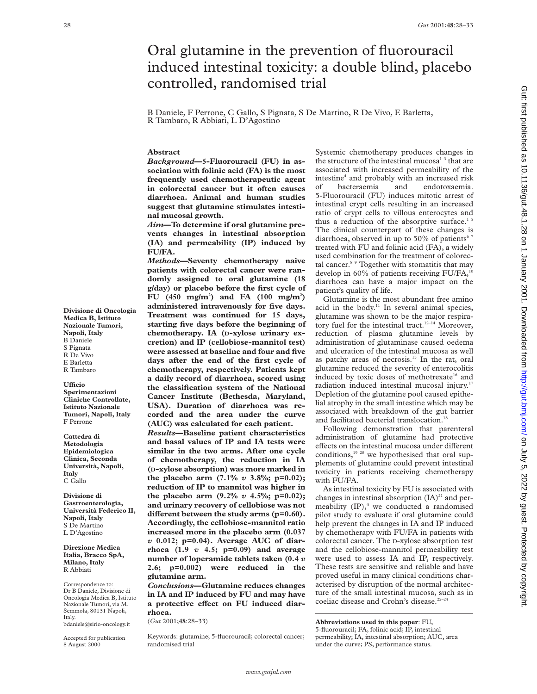# Oral glutamine in the prevention of fluorouracil induced intestinal toxicity: a double blind, placebo controlled, randomised trial

B Daniele, F Perrone, C Gallo, S Pignata, S De Martino, R De Vivo, E Barletta, R Tambaro, R Abbiati, L D'Agostino

# **Abstract**

*Background***—5-Fluorouracil (FU) in association with folinic acid (FA) is the most frequently used chemotherapeutic agent in colorectal cancer but it often causes diarrhoea. Animal and human studies suggest that glutamine stimulates intestinal mucosal growth.**

*Aim***—To determine if oral glutamine prevents changes in intestinal absorption (IA) and permeability (IP) induced by FU/FA.**

*Methods***—Seventy chemotherapy naive patients with colorectal cancer were randomly assigned to oral glutamine (18 g/day) or placebo before the first cycle of FU** (450 mg/m<sup>2</sup>) and FA (100 mg/m<sup>2</sup>) **administered intravenously for five days. Treatment was continued for 15 days, starting five days before the beginning of chemotherapy. IA (D-xylose urinary excretion) and IP (cellobiose-mannitol test) were assessed at baseline and four and five days after the end of the first cycle of chemotherapy, respectively. Patients kept a daily record of diarrhoea, scored using the classification system of the National Cancer Institute (Bethesda, Maryland, USA). Duration of diarrhoea was recorded and the area under the curve (AUC) was calculated for each patient.**

*Results***—Baseline patient characteristics and basal values of IP and IA tests were similar in the two arms. After one cycle of chemotherapy, the reduction in IA (D-xylose absorption) was more marked in the placebo arm (7.1%** *v* **3.8%; p=0.02); reduction of IP to mannitol was higher in the placebo arm (9.2%** *v* **4.5%; p=0.02); and urinary recovery of cellobiose was not** different between the study arms (p=0.60). **Accordingly, the cellobiose-mannitol ratio increased more in the placebo arm (0.037** *v* **0.012; p=0.04). Average AUC of diarrhoea (1.9** *v* **4.5; p=0.09) and average number of loperamide tablets taken (0.4** *v* **2.6; p=0.002) were reduced in the glutamine arm.**

*Conclusions***—Glutamine reduces changes in IA and IP induced by FU and may have** a protective effect on FU induced diar**rhoea.**

(*Gut* 2001;**48**:28–33)

Keywords: glutamine; 5-fluorouracil; colorectal cancer; randomised trial

Systemic chemotherapy produces changes in the structure of the intestinal mucosa $1-3$  that are associated with increased permeability of the intestine<sup>4</sup> and probably with an increased risk of bacteraemia and endotoxaemia. 5-Fluorouracil (FU) induces mitotic arrest of intestinal crypt cells resulting in an increased ratio of crypt cells to villous enterocytes and thus a reduction of the absorptive surface.<sup>1</sup> The clinical counterpart of these changes is diarrhoea, observed in up to 50% of patients<sup>67</sup> treated with FU and folinic acid (FA), a widely used combination for the treatment of colorectal cancer.8 9 Together with stomatitis that may develop in 60% of patients receiving FU/FA,<sup>1</sup> diarrhoea can have a major impact on the patient's quality of life.

Glutamine is the most abundant free amino acid in the body. $11$  In several animal species, glutamine was shown to be the major respiratory fuel for the intestinal tract.<sup>12-14</sup> Moreover, reduction of plasma glutamine levels by administration of glutaminase caused oedema and ulceration of the intestinal mucosa as well as patchy areas of necrosis.<sup>15</sup> In the rat, oral glutamine reduced the severity of enterocolitis induced by toxic doses of methotrexate<sup>16</sup> and radiation induced intestinal mucosal injury.<sup>17</sup> Depletion of the glutamine pool caused epithelial atrophy in the small intestine which may be associated with breakdown of the gut barrier and facilitated bacterial translocation.<sup>18</sup>

Following demonstration that parenteral administration of glutamine had protective effects on the intestinal mucosa under different conditions, $19^{20}$  we hypothesised that oral supplements of glutamine could prevent intestinal toxicity in patients receiving chemotherapy with FU/FA.

As intestinal toxicity by FU is associated with changes in intestinal absorption  $(IA)^{21}$  and permeability  $(IP)$ ,<sup>4</sup> we conducted a randomised pilot study to evaluate if oral glutamine could help prevent the changes in IA and IP induced by chemotherapy with FU/FA in patients with colorectal cancer. The D-xylose absorption test and the cellobiose-mannitol permeability test were used to assess IA and IP, respectively. These tests are sensitive and reliable and have proved useful in many clinical conditions characterised by disruption of the normal architecture of the small intestinal mucosa, such as in coeliac disease and Crohn's disease.<sup>22-24</sup>

**Abbreviations used in this paper**: FU, 5-fluorouracil; FA, folinic acid; IP, intestinal permeability; IA, intestinal absorption; AUC, area under the curve; PS, performance status.

**Divisione di Oncologia Medica B, Istituto Nazionale Tumori, Napoli, Italy** B Daniele S Pignata R De Vivo E Barletta R Tambaro

# **UYcio**

**Sperimentazioni Cliniche Controllate, Istituto Nazionale Tumori, Napoli, Italy** F Perrone

**Cattedra di Metodologia Epidemiologica Clinica, Seconda Università, Napoli, Italy** C Gallo

**Divisione di Gastroenterologia, Università Federico II, Napoli, Italy** S De Martino L D'Agostino

**Direzione Medica Italia, Bracco SpA, Milano, Italy** R Abbiati

Correspondence to: Dr B Daniele, Divisione di Oncologia Medica B, Istituto Nazionale Tumori, via M. Semmola, 80131 Napoli, Italy. bdaniele@sirio-oncology.it

Accepted for publication 8 August 2000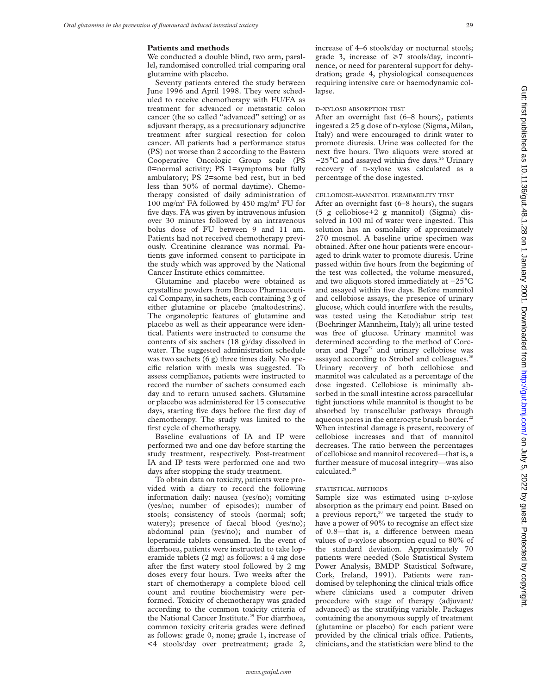## **Patients and methods**

We conducted a double blind, two arm, parallel, randomised controlled trial comparing oral glutamine with placebo.

Seventy patients entered the study between June 1996 and April 1998. They were scheduled to receive chemotherapy with FU/FA as treatment for advanced or metastatic colon cancer (the so called "advanced" setting) or as adjuvant therapy, as a precautionary adjunctive treatment after surgical resection for colon cancer. All patients had a performance status (PS) not worse than 2 according to the Eastern Cooperative Oncologic Group scale (PS 0=normal activity; PS 1=symptoms but fully ambulatory; PS 2=some bed rest, but in bed less than 50% of normal daytime). Chemotherapy consisted of daily administration of 100 mg/m2 FA followed by 450 mg/m2 FU for five days. FA was given by intravenous infusion over 30 minutes followed by an intravenous bolus dose of FU between 9 and 11 am. Patients had not received chemotherapy previously. Creatinine clearance was normal. Patients gave informed consent to participate in the study which was approved by the National Cancer Institute ethics committee.

Glutamine and placebo were obtained as crystalline powders from Bracco Pharmaceutical Company, in sachets, each containing 3 g of either glutamine or placebo (maltodestrins). The organoleptic features of glutamine and placebo as well as their appearance were identical. Patients were instructed to consume the contents of six sachets (18 g)/day dissolved in water. The suggested administration schedule was two sachets (6 g) three times daily. No specific relation with meals was suggested. To assess compliance, patients were instructed to record the number of sachets consumed each day and to return unused sachets. Glutamine or placebo was administered for 15 consecutive days, starting five days before the first day of chemotherapy. The study was limited to the first cycle of chemotherapy.

Baseline evaluations of IA and IP were performed two and one day before starting the study treatment, respectively. Post-treatment IA and IP tests were performed one and two days after stopping the study treatment.

To obtain data on toxicity, patients were provided with a diary to record the following information daily: nausea (yes/no); vomiting (yes/no; number of episodes); number of stools; consistency of stools (normal; soft; watery); presence of faecal blood (yes/no); abdominal pain (yes/no); and number of loperamide tablets consumed. In the event of diarrhoea, patients were instructed to take loperamide tablets (2 mg) as follows: a 4 mg dose after the first watery stool followed by 2 mg doses every four hours. Two weeks after the start of chemotherapy a complete blood cell count and routine biochemistry were performed. Toxicity of chemotherapy was graded according to the common toxicity criteria of the National Cancer Institute.<sup>25</sup> For diarrhoea, common toxicity criteria grades were defined as follows: grade 0, none; grade 1, increase of <4 stools/day over pretreatment; grade 2,

increase of 4–6 stools/day or nocturnal stools; grade 3, increase of  $\geq 7$  stools/day, incontinence, or need for parenteral support for dehydration; grade 4, physiological consequences requiring intensive care or haemodynamic collapse.

## D-XYLOSE ABSORPTION TEST

After an overnight fast (6–8 hours), patients ingested a 25 g dose of D-xylose (Sigma, Milan, Italy) and were encouraged to drink water to promote diuresis. Urine was collected for the next five hours. Two aliquots were stored at −25°C and assayed within five days.26 Urinary recovery of D-xylose was calculated as a percentage of the dose ingested.

# CELLOBIOSE-MANNITOL PERMEABILITY TEST

After an overnight fast (6–8 hours), the sugars (5 g cellobiose+2 g mannitol) (Sigma) dissolved in 100 ml of water were ingested. This solution has an osmolality of approximately 270 mosmol. A baseline urine specimen was obtained. After one hour patients were encouraged to drink water to promote diuresis. Urine passed within five hours from the beginning of the test was collected, the volume measured, and two aliquots stored immediately at −25°C and assayed within five days. Before mannitol and cellobiose assays, the presence of urinary glucose, which could interfere with the results, was tested using the Ketodiabur strip test (Boehringer Mannheim, Italy); all urine tested was free of glucose. Urinary mannitol was determined according to the method of Corcoran and Page<sup>27</sup> and urinary cellobiose was assayed according to Strobel and colleagues.<sup>28</sup> Urinary recovery of both cellobiose and mannitol was calculated as a percentage of the dose ingested. Cellobiose is minimally absorbed in the small intestine across paracellular tight junctions while mannitol is thought to be absorbed by transcellular pathways through aqueous pores in the enterocyte brush border.<sup>22</sup> When intestinal damage is present, recovery of cellobiose increases and that of mannitol decreases. The ratio between the percentages of cellobiose and mannitol recovered—that is, a further measure of mucosal integrity—was also calculated.<sup>28</sup>

#### STATISTICAL METHODS

Sample size was estimated using D-xylose absorption as the primary end point. Based on a previous report, $20$  we targeted the study to have a power of 90% to recognise an effect size of 0.8—that is, a difference between mean values of D-xylose absorption equal to 80% of the standard deviation. Approximately 70 patients were needed (Solo Statistical System Power Analysis, BMDP Statistical Software, Cork, Ireland, 1991). Patients were randomised by telephoning the clinical trials office where clinicians used a computer driven procedure with stage of therapy (adjuvant/ advanced) as the stratifying variable. Packages containing the anonymous supply of treatment (glutamine or placebo) for each patient were provided by the clinical trials office. Patients, clinicians, and the statistician were blind to the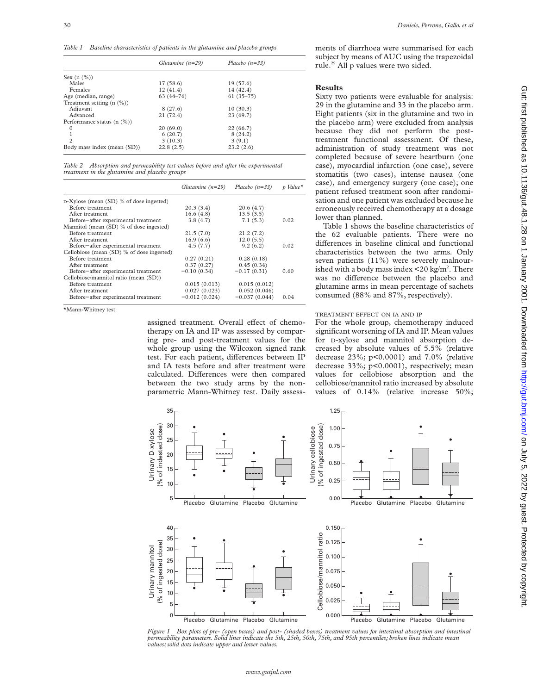*Table 1 Baseline characteristics of patients in the glutamine and placebo groups*

|                                | Glutamine $(n=29)$ | Placebo $(n=33)$ |
|--------------------------------|--------------------|------------------|
| Sex $(n \ (\%)$                |                    |                  |
| Males                          | 17(58.6)           | 19(57.6)         |
| Females                        | 12(41.4)           | 14 (42.4)        |
| Age (median, range)            | $63(44 - 76)$      | $61(35-75)$      |
| Treatment setting $(n \ (\%)$  |                    |                  |
| Adjuvant                       | 8(27.6)            | 10(30.3)         |
| Advanced                       | 21(72.4)           | 23(69.7)         |
| Performance status $(n \ (\%)$ |                    |                  |
| $\Omega$                       | 20(69.0)           | 22(66.7)         |
| 1                              | 6(20.7)            | 8(24.2)          |
| $\overline{c}$                 | 3(10.3)            | 3(9.1)           |
| Body mass index (mean (SD))    | 22.8(2.5)          | 23.2(2.6)        |

*Table 2 Absorption and permeability test values before and after the experimental treatment in the glutamine and placebo groups*

|                                           | Glutamine $(n=29)$ | Placebo $(n=33)$ | p Value <sup>*</sup> |
|-------------------------------------------|--------------------|------------------|----------------------|
| $D-Xylose (mean (SD) % of dose ingested)$ |                    |                  |                      |
| Before treatment                          | 20.3(3.4)          | 20.6(4.7)        |                      |
| After treatment                           | 16.6(4.8)          | 13.5(3.5)        |                      |
| Before-after experimental treatment       | 3.8(4.7)           | 7.1(5.3)         | 0.02                 |
| Mannitol (mean (SD) % of dose ingested)   |                    |                  |                      |
| Before treatment                          | 21.5(7.0)          | 21.2(7.2)        |                      |
| After treatment                           | 16.9(6.6)          | 12.0(5.5)        |                      |
| Before-after experimental treatment       | 4.5(7.7)           | 9.2(6.2)         | 0.02                 |
| Cellobiose (mean (SD) % of dose ingested) |                    |                  |                      |
| Before treatment                          | 0.27(0.21)         | 0.28(0.18)       |                      |
| After treatment                           | 0.37(0.27)         | 0.45(0.34)       |                      |
| Before-after experimental treatment       | $-0.10(0.34)$      | $-0.17(0.31)$    | 0.60                 |
| Cellobiose/mannitol ratio (mean (SD))     |                    |                  |                      |
| Before treatment                          | 0.015(0.013)       | 0.015(0.012)     |                      |
| After treatment                           | 0.027(0.023)       | 0.052(0.046)     |                      |
| Before-after experimental treatment       | $-0.012(0.024)$    | $-0.037(0.044)$  | 0.04                 |

\*Mann-Whitney test

assigned treatment. Overall effect of chemotherapy on IA and IP was assessed by comparing pre- and post-treatment values for the whole group using the Wilcoxon signed rank test. For each patient, differences between IP and IA tests before and after treatment were calculated. Differences were then compared between the two study arms by the nonparametric Mann-Whitney test. Daily assessments of diarrhoea were summarised for each subject by means of AUC using the trapezoidal rule.29 All p values were two sided.

# **Results**

Sixty two patients were evaluable for analysis: 29 in the glutamine and 33 in the placebo arm. Eight patients (six in the glutamine and two in the placebo arm) were excluded from analysis because they did not perform the posttreatment functional assessment. Of these, administration of study treatment was not completed because of severe heartburn (one case), myocardial infarction (one case), severe stomatitis (two cases), intense nausea (one case), and emergency surgery (one case); one patient refused treatment soon after randomisation and one patient was excluded because he erroneously received chemotherapy at a dosage lower than planned.

Table 1 shows the baseline characteristics of the 62 evaluable patients. There were no differences in baseline clinical and functional characteristics between the two arms. Only seven patients (11%) were severely malnourished with a body mass index  $\leq$  20 kg/m<sup>2</sup>. There was no difference between the placebo and glutamine arms in mean percentage of sachets consumed (88% and 87%, respectively).

# TREATMENT EFFECT ON IA AND IP

For the whole group, chemotherapy induced significant worsening of IA and IP. Mean values for D-xylose and mannitol absorption decreased by absolute values of 5.5% (relative decrease 23%; p<0.0001) and 7.0% (relative decrease 33%; p<0.0001), respectively; mean values for cellobiose absorption and the cellobiose/mannitol ratio increased by absolute values of 0.14% (relative increase 50%;



*Figure 1 Box plots of pre- (open boxes) and post- (shaded boxes) treatment values for intestinal absorption and intestinal permeability parameters. Solid lines indicate the 5th, 25th, 50th, 75th, and 95th percentiles; broken lines indicate mean values; solid dots indicate upper and lower values.*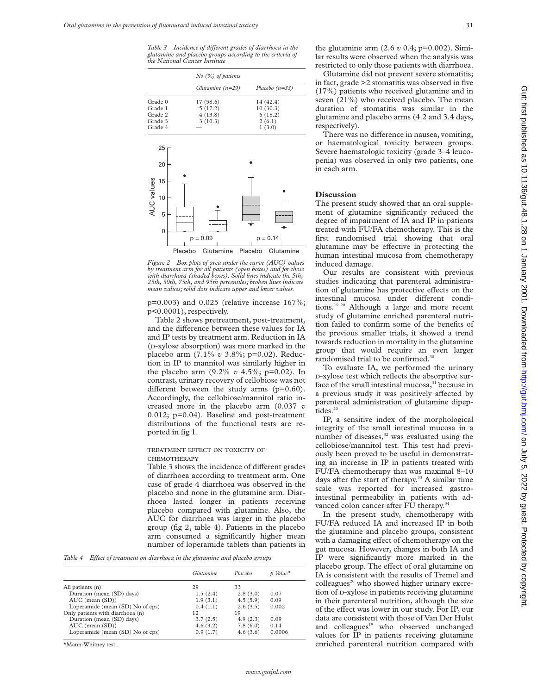*Table 3* Incidence of different grades of diarrhoea in the *glutamine and placebo groups according to the criteria of the National Cancer Institute*

|                                           |         | $No$ (%) of patients |         |                  |
|-------------------------------------------|---------|----------------------|---------|------------------|
|                                           |         | Glutamine $(n=29)$   |         | Placebo $(n=33)$ |
| Grade 0                                   |         | 17 (58.6)            |         | 14 (42.4)        |
| Grade 1                                   |         | 5(17.2)              |         | 10(30.3)         |
| Grade 2                                   |         | 4(13.8)              |         | 6(18.2)          |
| Grade 3                                   |         | 3(10.3)              |         | 2(6.1)           |
| Grade 4                                   |         |                      |         | 1(3.0)           |
| 25<br>20<br><b>AUC</b> values<br>15<br>10 |         |                      |         |                  |
| 5<br>0                                    |         |                      |         |                  |
|                                           |         | $p = 0.09$           |         | $p = 0.14$       |
|                                           | Placebo | Glutamine            | Placebo | Glutamine        |

*Figure 2 Box plots of area under the curve (AUC) values by treatment arm for all patients (open boxes) and for those with diarrhoea (shaded boxes). Solid lines indicate the 5th, 25th, 50th, 75th, and 95th percentiles; broken lines indicate mean values; solid dots indicate upper and lower values.*

p=0.003) and 0.025 (relative increase 167%; p<0.0001), respectively.

Table 2 shows pretreatment, post-treatment, and the difference between these values for IA and IP tests by treatment arm. Reduction in IA (D-xylose absorption) was more marked in the placebo arm (7.1% *v* 3.8%; p=0.02). Reduction in IP to mannitol was similarly higher in the placebo arm (9.2% *v* 4.5%; p=0.02). In contrast, urinary recovery of cellobiose was not different between the study arms  $(p=0.60)$ . Accordingly, the cellobiose/mannitol ratio increased more in the placebo arm (0.037 *v* 0.012; p=0.04). Baseline and post-treatment distributions of the functional tests are reported in fig 1.

## TREATMENT EFFECT ON TOXICITY OF **CHEMOTHERAPY**

Table 3 shows the incidence of different grades of diarrhoea according to treatment arm. One case of grade 4 diarrhoea was observed in the placebo and none in the glutamine arm. Diarrhoea lasted longer in patients receiving placebo compared with glutamine. Also, the AUC for diarrhoea was larger in the placebo group (fig 2, table 4). Patients in the placebo arm consumed a significantly higher mean number of loperamide tablets than patients in

*Table 4 Effect of treatment on diarrhoea in the glutamine and placebo groups* 

|                                  | Glutamine | Placebo  | p Value <sup>*</sup> |
|----------------------------------|-----------|----------|----------------------|
| All patients (n)                 | 29        | 33       |                      |
| Duration (mean (SD) days)        | 1.5(2.4)  | 2.8(3.0) | 0.07                 |
| $AUC$ (mean $(SD)$ )             | 1.9(3.1)  | 4.5(5.9) | 0.09                 |
| Loperamide (mean (SD) No of cps) | 0.4(1.1)  | 2.6(3.5) | 0.002                |
| Only patients with diarrhoea (n) | 12        | 19       |                      |
| Duration (mean (SD) days)        | 3.7(2.5)  | 4.9(2.3) | 0.09                 |
| $AUC$ (mean $(SD)$ )             | 4.6(3.2)  | 7.8(6.0) | 0.14                 |
| Loperamide (mean (SD) No of cps) | 0.9(1.7)  | 4.6(3.6) | 0.0006               |

\*Mann-Whitney test.

the glutamine arm (2.6 *v* 0.4; p=0.002). Similar results were observed when the analysis was restricted to only those patients with diarrhoea.

Glutamine did not prevent severe stomatitis; in fact, grade >2 stomatitis was observed in five (17%) patients who received glutamine and in seven (21%) who received placebo. The mean duration of stomatitis was similar in the glutamine and placebo arms (4.2 and 3.4 days, respectively).

There was no difference in nausea, vomiting, or haematological toxicity between groups. Severe haematologic toxicity (grade 3–4 leucopenia) was observed in only two patients, one in each arm.

# **Discussion**

The present study showed that an oral supplement of glutamine significantly reduced the degree of impairment of IA and IP in patients treated with FU/FA chemotherapy. This is the first randomised trial showing that oral glutamine may be effective in protecting the human intestinal mucosa from chemotherapy induced damage.

Our results are consistent with previous studies indicating that parenteral administration of glutamine has protective effects on the intestinal mucosa under different conditions.<sup>19 20</sup> Although a large and more recent study of glutamine enriched parenteral nutrition failed to confirm some of the benefits of the previous smaller trials, it showed a trend towards reduction in mortality in the glutamine group that would require an even larger randomised trial to be confirmed.<sup>30</sup>

To evaluate IA, we performed the urinary D-xylose test which reflects the absorptive surface of the small intestinal mucosa,<sup>31</sup> because in a previous study it was positively affected by parenteral administration of glutamine dipeptides.<sup>20</sup>

IP, a sensitive index of the morphological integrity of the small intestinal mucosa in a number of diseases,<sup>32</sup> was evaluated using the cellobiose/mannitol test. This test had previously been proved to be useful in demonstrating an increase in IP in patients treated with FU/FA chemotherapy that was maximal 8–10 days after the start of therapy.<sup>33</sup> A similar time scale was reported for increased gastrointestinal permeability in patients with advanced colon cancer after FU therapy.<sup>34</sup>

In the present study, chemotherapy with FU/FA reduced IA and increased IP in both the glutamine and placebo groups, consistent with a damaging effect of chemotherapy on the gut mucosa. However, changes in both IA and IP were significantly more marked in the placebo group. The effect of oral glutamine on IA is consistent with the results of Tremel and colleagues<sup>20</sup> who showed higher urinary excretion of D-xylose in patients receiving glutamine in their parenteral nutrition, although the size of the effect was lower in our study. For IP, our data are consistent with those of Van Der Hulst and colleagues<sup>19</sup> who observed unchanged values for IP in patients receiving glutamine enriched parenteral nutrition compared with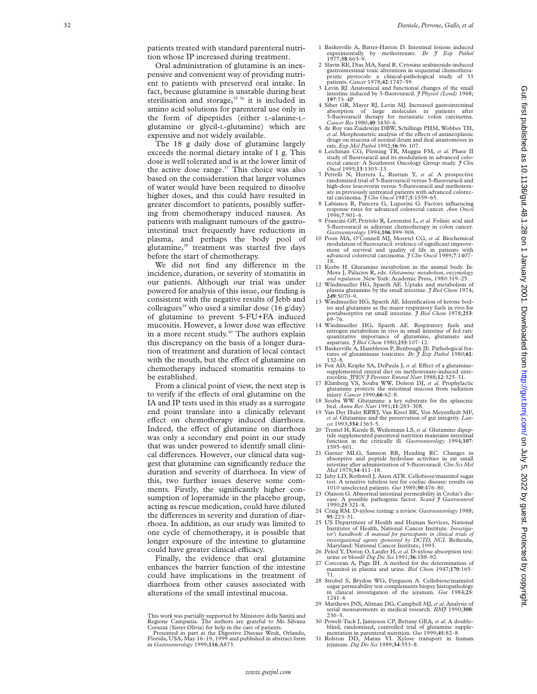patients treated with standard parenteral nutrition whose IP increased during treatment.

Oral administration of glutamine is an inexpensive and convenient way of providing nutrient to patients with preserved oral intake. In fact, because glutamine is unstable during heat sterilisation and storage,<sup>35 36</sup> it is included in amino acid solutions for parenteral use only in the form of dipeptides (either L-alanine-L glutamine or glycil-L-glutamine) which are expensive and not widely available.

The 18 g daily dose of glutamine largely exceeds the normal dietary intake of 1 g. This dose is well tolerated and is at the lower limit of the active dose range. $37$  This choice was also based on the consideration that larger volumes of water would have been required to dissolve higher doses, and this could have resulted in greater discomfort to patients, possibly suffering from chemotherapy induced nausea. As patients with malignant tumours of the gastrointestinal tract frequently have reductions in plasma, and perhaps the body pool of glutamine,<sup>38</sup> treatment was started five days before the start of chemotherapy.

We did not find any difference in the incidence, duration, or severity of stomatitis in our patients. Although our trial was under powered for analysis of this issue, our finding is consistent with the negative results of Jebb and colleagues<sup>39</sup> who used a similar dose (16 g/day) of glutamine to prevent 5-FU+FA induced mucositis. However, a lower dose was effective in a more recent study.<sup>40</sup> The authors explain this discrepancy on the basis of a longer duration of treatment and duration of local contact with the mouth, but the effect of glutamine on chemotherapy induced stomatitis remains to be established.

From a clinical point of view, the next step is to verify if the effects of oral glutamine on the IA and IP tests used in this study as a surrogate end point translate into a clinically relevant effect on chemotherapy induced diarrhoea. Indeed, the effect of glutamine on diarrhoea was only a secondary end point in our study that was under powered to identify small clinical differences. However, our clinical data suggest that glutamine can significantly reduce the duration and severity of diarrhoea. In view of this, two further issues deserve some comments. Firstly, the significantly higher consumption of loperamide in the placebo group, acting as rescue medication, could have diluted the differences in severity and duration of diarrhoea. In addition, as our study was limited to one cycle of chemotherapy, it is possible that longer exposure of the intestine to glutamine could have greater clinical efficacy.

Finally, the evidence that oral glutamine enhances the barrier function of the intestine could have implications in the treatment of diarrhoea from other causes associated with alterations of the small intestinal mucosa.

- 1 Baskerville A, Batter-Hatton D. Intestinal lesions induced experimentally by methotrexate. *Br J Exp Pathol* 1977;**58**:663–9.
- 2 Slavin RE, Dias MA, Saral R. Cytosine arabinoside-induced gastrointestinal toxic alterations in sequential chemothera-peutic protocols: a clinical-pathological study of 33 patients. *Cancer* 1978;**42**:1747–59.
- 3 Levin RJ. Anatomical and functional changes of the small intestine induced by 5-fluorouracil. *J Physiol (Lond)* 1968; **197**:73–4P.
- 4 Siber GR, Mayer RJ, Levin MJ. Increased gastrointestinal absorption of large molecules in patients after<br>
5-huorouracil therapy for metastatic colon carcinoma.<br> *Cancer Res* 1980;40:3430–6.<br>
5 de Roy van Zuidewijn DBW, Schillings PHM, Wobbes TH,
- et al. Morphometric analysis of the effects of antineoplastic drugs on mucosa of normal ileum and ileal anastomoses in rats. *Exp Mol Pathol* 1992;**56**:96–107.
- 6 Leichman CG, Fleming TR, Muggia FM, *et al.* Phase II study of fluorouracil and its modulation in advanced colorectal cancer: A Southwest Oncology Group study. *J Clin Oncol* 1995;**13**:1303–13.
- 7 Petrelli N, Herrera L, Rustum Y, *et al.* A prospective randomized trial of 5-fluorouracil versus 5-fluorouracil and high-dose leucovorin versus 5-fluorouracil and methotrexate in previously untreated patients with advanced colorectal carcinoma. *J Clin Oncol* 1987;**5**:1559–65.
- 8 Labianca R, Pancera G, Luporini G. Factors influencing response rates for advanced colorectal cancer. *Ann Oncol* 1996; **7**:901–6.
- 9 Francini GP, Petriolo R, Lorenzini L, *et al.* Folinic acid and 5-fluorouracil as adjuvant chemotherapy in colon cancer.
- *Gastroenterology* 1994;**106**:899–906. 10 Poon MA, O'Connell MJ, Moertel CG, *et al.* Biochemical modulation of fluorouracil: evidence of significant improvement of survival and quality of life in patients advanced colorectal carcinoma. *J Clin Oncol* 1989; **<sup>7</sup>**:1407– 18.
- 11 Krebs H. Glutamine metabolism in the animal body. In: Mora J, Palacios R, eds. *Glutamine: metabolism, enzymology*
- *and regulation*. New York: Academic Press, 1980:319–25. 12 Windmueller HG, Spaeth AE. Uptake and metabolism of plasma glutamine by the small intestine. *J Biol Chem* 1974; **249**:5070–9.
- 13 Windmueller HG, Spaeth AE. Identification of ketone bodies and glutamine as the major respiratory fuels in vivo for postabsorptive rat small intestine. *J Biol Chem* 1978;**253** : 69–76.
- 14 Windmueller HG, Spaeth AE. Respiratory fuels and nitrogen metabolism in vivo in small intestine of fed rats: quantitative importance of glutamine, glutamate and aspartate. *J Biol Chem* 1980;**255**:107–12.
- 15 Baskerville A, Hambleton P, Benbough JE. Pathological features of glutaminase toxicities. *Br J Exp Pathol* 1980;**61**: 132–8.
- 16 Fox AD, Kripke SA, DePaula J, et al. Effect of a glutaminesupplemented enteral diet on methotrexate-induced ente-rocolitis. *JPEN J Parenter Enteral Nutr* 1988;**12**:325–31.
- 17 Klimberg VS, Souba WW, Dolson DJ, *et al.* Prophylactic glutamine protects the intestinal mucosa from radiation injury. *Cancer* 1990;**66**:62–8.
- 18 Souba WW. Glutamine: a key substrate for the splancnic bed. *Annu Rev Nutr* 1991;**11**:283–308.
- 19 Van Der Hulst RRWJ, Van Kreel BK, Von Meyenfledt MF, *et al.* Glutamine and the preservation of gut integrity. *Lan- cet* 1993;**334**:1363–5.
- 20 Tremel H, Kienle B, Weilemann LS, *et al.* Glutamine dipeptide supplemented parenteral nutrition maintains intestinal function in the critically ill. *Gastroenterology* 1994;**107** : 1595–601.
- 21 Garner MLG, Samson RR, Heading RC. Changes in absorptive and peptide hydrolase activities in rat small intestine after administration of 5-fluorouracil. *Clin Sci Mol Med* 1978;**54**:411–18.
- 22 Juby LD, Rothwell J, Axon ATR. Cellobiose/mannitol sugar test. A sensitive tubeless test for coeliac disease: results on 1010 unselected patients. *Gut* 1989;**30**:476–80.
- 23 Olaison G. Abnormal intestinal permeability in Crohn's disease. A possible pathogenic factor. *Scand J Gastroenterol* 1990;**25**:321–8.
- 24 Craig RM. D-xylose testing: a review. *Gastroenterology* 1988; **95**:223–31. 25 US Department of Health and Human Services, National
- Institutes of Health, National Cancer Institute. *Investiga-tor's handbook: A manual for participants in clinical trials of investigational agents sponsored by DCTD, NCI*. Bethesda, Maryland: National Cancer Institute, 1993. 26 Peled Y, Doron O, Laufer H, *et al.* D-xylose absorption test:
- urine or blood? *Dig Dis Sci* 1991;**36**:188–92.
- 27 Corcoran A, Page IH. A method for the determination of mannitol in plasma and urine. *Biol Chem* 1947;**170**:165– 71.
- 28 Strobel S, Brydon WG, Ferguson A. Cellobiose/mannitol sugar permeability test complements biopsy histopathology in clinical investigation of the jejunum. *Gut* 1984;**25** : 1241–6
- 29 Matthews JNS, Altman DG, Campbell MJ, *et al.* Analysis of serial measurements in medical research. *BMJ* 1990;**300** : 230–5.
- 30 Powell-Tuck J, Jamieson CP, Bettany GEA, *et al*. A double-blind, randomised, controlled trial of glutamine supple-
- mentation in parenteral nutrition. *Gut* 1999;**45**:82–8. 31 Rolston DD, Matan VI. Xylose transport in human jejunum. *Dig Dis Sci* 1989;**34**:553–8.

This work was partially supported by Ministero della Sanità and Regione Campania. The authors are grateful to Ms Silvana

Corazza (Sister Olivia) for help in the care of patients. Presented in part at the Digestive Disease Week, Orlando, Florida, USA, May 16–19, 1999 and published in abstract form in *Gastroenterology* 1999;**116**:A873.